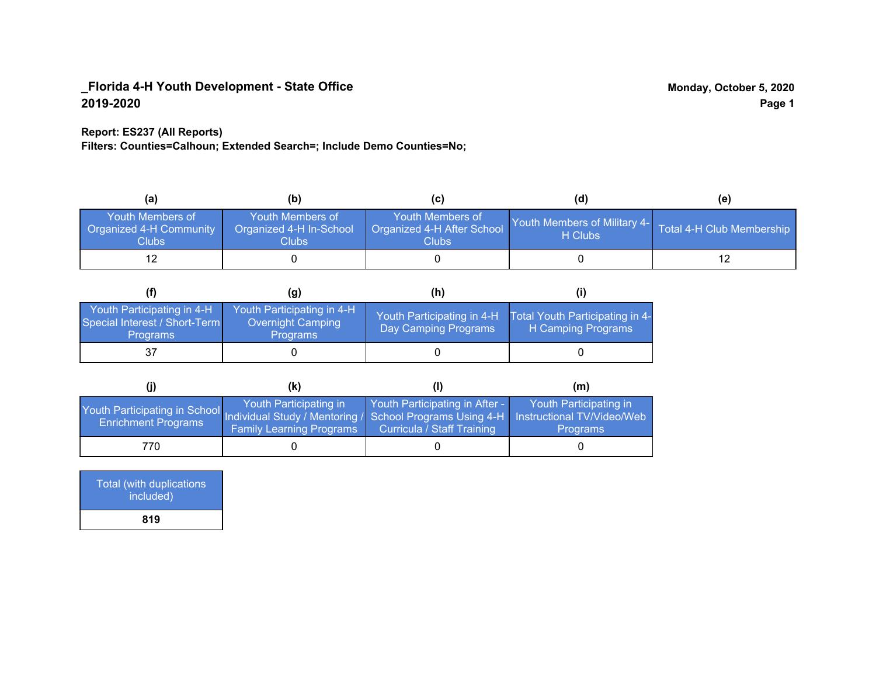### **Report: ES237 (All Reports)**

**Filters: Counties=Calhoun; Extended Search=; Include Demo Counties=No;**

| (a)                                                                | (b)                                                   | (C)                                                            | (d)                                                               | (e) |
|--------------------------------------------------------------------|-------------------------------------------------------|----------------------------------------------------------------|-------------------------------------------------------------------|-----|
| <b>Youth Members of</b><br><b>Organized 4-H Community</b><br>Clubs | Youth Members of<br>Organized 4-H In-School<br>Clubs: | Youth Members of<br>Organized 4-H After School<br><b>Clubs</b> | Youth Members of Military 4- Total 4-H Club Membership<br>H Clubs |     |
|                                                                    |                                                       |                                                                |                                                                   |     |

|                                                                                | (g)                                                                       | (h)                                                 |                                                       |
|--------------------------------------------------------------------------------|---------------------------------------------------------------------------|-----------------------------------------------------|-------------------------------------------------------|
| Youth Participating in 4-H<br>Special Interest / Short-Term<br><b>Programs</b> | Youth Participating in 4-H<br><b>Overnight Camping</b><br><b>Programs</b> | Youth Participating in 4-H.<br>Day Camping Programs | Total Youth Participating in 4-<br>H Camping Programs |
|                                                                                |                                                                           |                                                     |                                                       |

|                                                                                                                   | (k)                                                       |                                                              | (m)                                       |
|-------------------------------------------------------------------------------------------------------------------|-----------------------------------------------------------|--------------------------------------------------------------|-------------------------------------------|
| Youth Participating in School Individual Study / Mentoring / School Programs Using 4-H Instructional TV/Video/Web | Youth Participating in<br><b>Family Learning Programs</b> | Youth Participating in After -<br>Curricula / Staff Training | Youth Participating in<br><b>Programs</b> |
| 770.                                                                                                              |                                                           |                                                              |                                           |

| Total (with duplications<br>included) |  |
|---------------------------------------|--|
| 819                                   |  |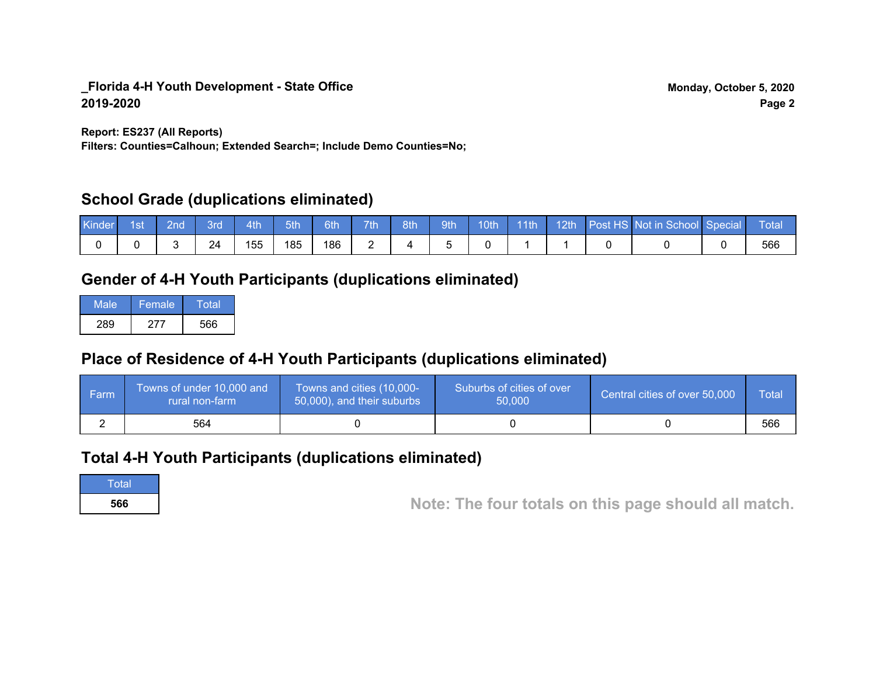**Report: ES237 (All Reports)**

**Filters: Counties=Calhoun; Extended Search=; Include Demo Counties=No;**

# **School Grade (duplications eliminated)**

| <b>Kinder</b> | 1st | <b>2nd</b> | 3rd | 4th | 5th | 6th | 7th | 8th | 9th | 10th | 11th | $\sqrt{12}$ th | Post HS Not in School Special | <b>N</b> TotaN |
|---------------|-----|------------|-----|-----|-----|-----|-----|-----|-----|------|------|----------------|-------------------------------|----------------|
|               |     |            | 24  | 155 | 185 | 186 |     |     |     |      |      |                |                               | 566            |

# **Gender of 4-H Youth Participants (duplications eliminated)**

| Male | Female | Total |
|------|--------|-------|
| 289  | 277    | 566   |

# **Place of Residence of 4-H Youth Participants (duplications eliminated)**

| ∣ Farm | Towns of under 10,000 and<br>rural non-farm | Towns and cities (10,000-<br>50,000), and their suburbs | Suburbs of cities of over<br>50,000 | Central cities of over 50,000 | Total |
|--------|---------------------------------------------|---------------------------------------------------------|-------------------------------------|-------------------------------|-------|
|        | 564                                         |                                                         |                                     |                               | 566   |

# **Total 4-H Youth Participants (duplications eliminated)**



**<sup>566</sup> Note: The four totals on this page should all match.**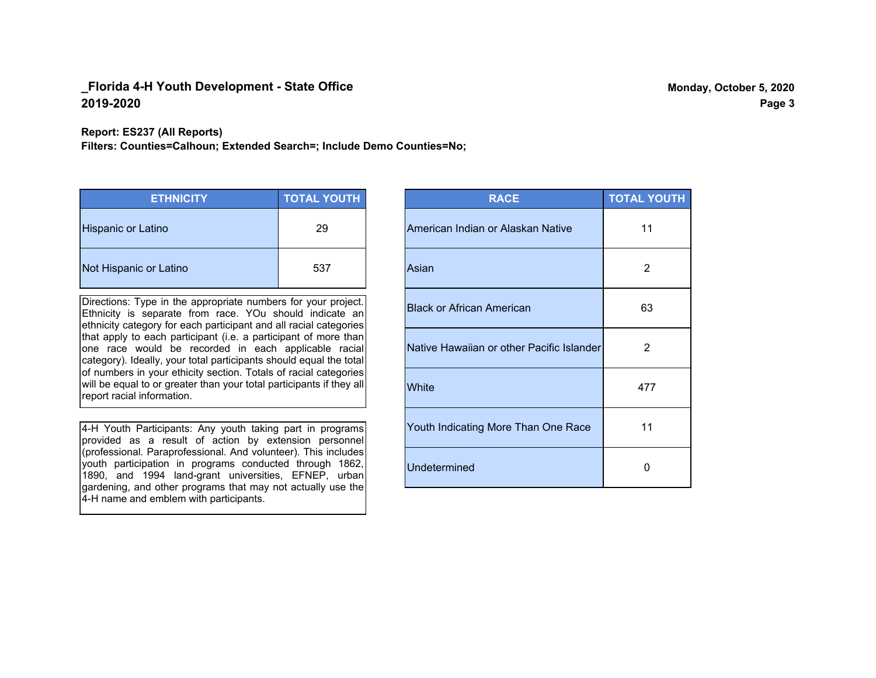**Report: ES237 (All Reports)**

**Filters: Counties=Calhoun; Extended Search=; Include Demo Counties=No;**

| <b>ETHNICITY</b>          | <b>TOTAL YOUTH</b> |
|---------------------------|--------------------|
| <b>Hispanic or Latino</b> | 29                 |
| Not Hispanic or Latino    | 537                |

Directions: Type in the appropriate numbers for your project. Ethnicity is separate from race. YOu should indicate an ethnicity category for each participant and all racial categories that apply to each participant (i.e. a participant of more than one race would be recorded in each applicable racial category). Ideally, your total participants should equal the total of numbers in your ethicity section. Totals of racial categories will be equal to or greater than your total participants if they all report racial information.

4-H Youth Participants: Any youth taking part in programs provided as a result of action by extension personnel (professional. Paraprofessional. And volunteer). This includes youth participation in programs conducted through 1862, 1890, and 1994 land-grant universities, EFNEP, urban gardening, and other programs that may not actually use the 4-H name and emblem with participants.

| <b>RACE</b>                               | <b>TOTAL YOUTH</b> |
|-------------------------------------------|--------------------|
| American Indian or Alaskan Native         | 11                 |
| Asian                                     | 2                  |
| <b>Black or African American</b>          | 63                 |
| Native Hawaiian or other Pacific Islander | 2                  |
| White                                     | 477                |
| Youth Indicating More Than One Race       | 11                 |
| <b>Undetermined</b>                       | U                  |

**Page 3**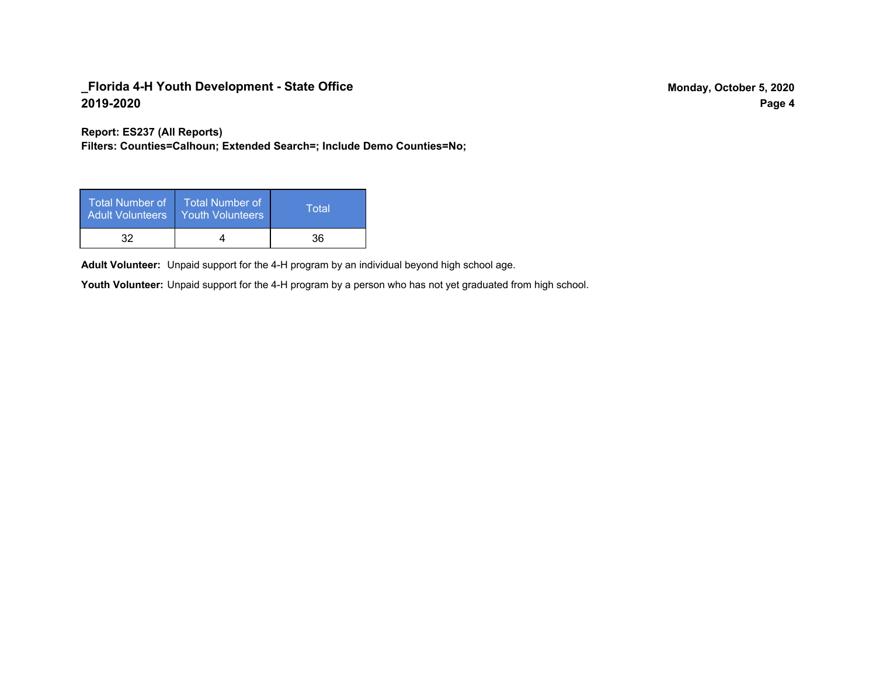**Report: ES237 (All Reports)**

**Filters: Counties=Calhoun; Extended Search=; Include Demo Counties=No;**

| Total Number of<br><b>Adult Volunteers</b> | <b>Total Number of</b><br><b>Youth Volunteers</b> | Total |
|--------------------------------------------|---------------------------------------------------|-------|
| 32                                         |                                                   | 36    |

Adult Volunteer: Unpaid support for the 4-H program by an individual beyond high school age.

Youth Volunteer: Unpaid support for the 4-H program by a person who has not yet graduated from high school.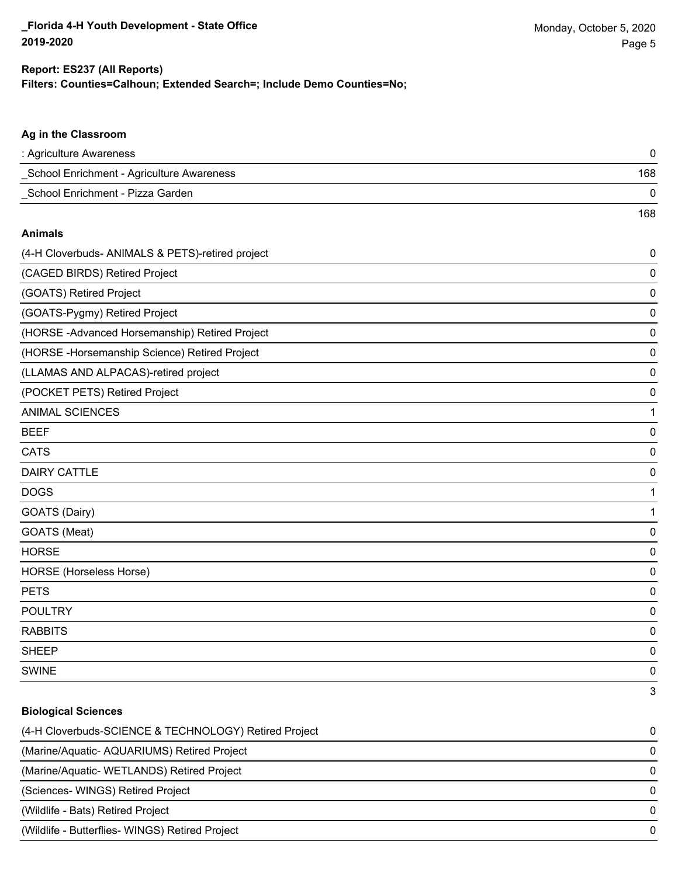168

# **Filters: Counties=Calhoun; Extended Search=; Include Demo Counties=No; Report: ES237 (All Reports)**

# **Ag in the Classroom**

| : Agriculture Awareness                   |     |
|-------------------------------------------|-----|
| School Enrichment - Agriculture Awareness | 168 |
| School Enrichment - Pizza Garden          |     |

#### **Animals**

| (4-H Cloverbuds- ANIMALS & PETS)-retired project | 0 |
|--------------------------------------------------|---|
| (CAGED BIRDS) Retired Project                    | 0 |
| (GOATS) Retired Project                          | 0 |
| (GOATS-Pygmy) Retired Project                    | 0 |
| (HORSE-Advanced Horsemanship) Retired Project    | 0 |
| (HORSE-Horsemanship Science) Retired Project     | 0 |
| (LLAMAS AND ALPACAS)-retired project             | 0 |
| (POCKET PETS) Retired Project                    | 0 |
| <b>ANIMAL SCIENCES</b>                           | 1 |
| <b>BEEF</b>                                      | 0 |
| <b>CATS</b>                                      | 0 |
| <b>DAIRY CATTLE</b>                              | 0 |
| <b>DOGS</b>                                      | 1 |
| GOATS (Dairy)                                    | 1 |
| GOATS (Meat)                                     | 0 |
| <b>HORSE</b>                                     | 0 |
| <b>HORSE</b> (Horseless Horse)                   | 0 |
| <b>PETS</b>                                      | 0 |
| <b>POULTRY</b>                                   | 0 |
| <b>RABBITS</b>                                   | 0 |
| <b>SHEEP</b>                                     | 0 |
| <b>SWINE</b>                                     | 0 |
|                                                  | 3 |

#### **Biological Sciences**

| (4-H Cloverbuds-SCIENCE & TECHNOLOGY) Retired Project | 0            |
|-------------------------------------------------------|--------------|
| (Marine/Aquatic-AQUARIUMS) Retired Project            | 0            |
| (Marine/Aquatic-WETLANDS) Retired Project             | <sup>0</sup> |
| (Sciences- WINGS) Retired Project                     |              |
| (Wildlife - Bats) Retired Project                     | 0            |
| (Wildlife - Butterflies- WINGS) Retired Project       | <sup>0</sup> |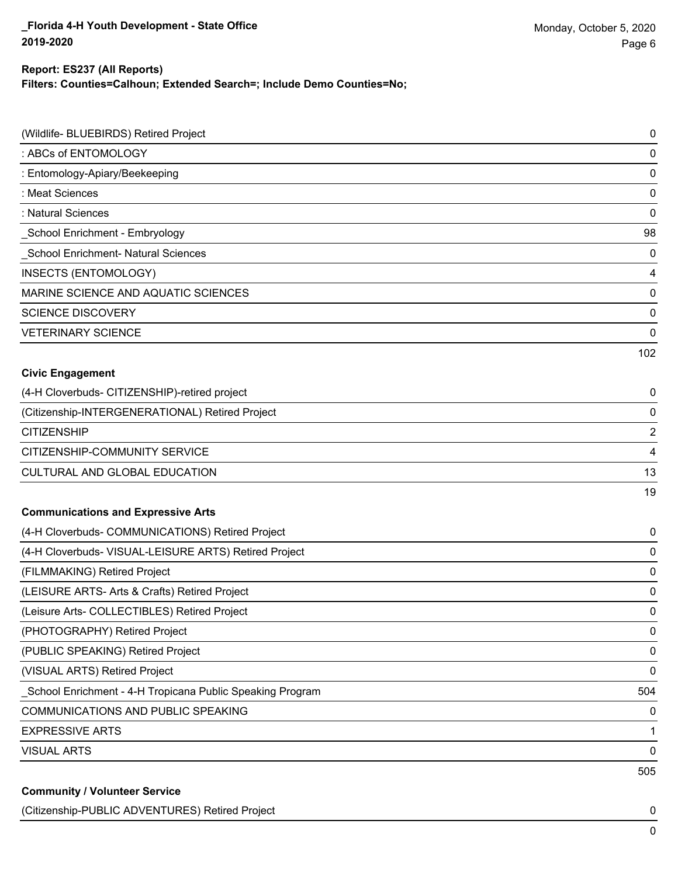#### **Report: ES237 (All Reports)**

**Filters: Counties=Calhoun; Extended Search=; Include Demo Counties=No;**

| (Wildlife- BLUEBIRDS) Retired Project                     | $\pmb{0}$      |
|-----------------------------------------------------------|----------------|
| : ABCs of ENTOMOLOGY                                      | $\mathbf 0$    |
| : Entomology-Apiary/Beekeeping                            | $\mathbf 0$    |
| : Meat Sciences                                           | $\mathbf 0$    |
| : Natural Sciences                                        | $\mathbf 0$    |
| School Enrichment - Embryology                            | 98             |
| School Enrichment- Natural Sciences                       | $\mathbf 0$    |
| INSECTS (ENTOMOLOGY)                                      | $\overline{4}$ |
| MARINE SCIENCE AND AQUATIC SCIENCES                       | $\mathbf 0$    |
| <b>SCIENCE DISCOVERY</b>                                  | $\mathbf 0$    |
| <b>VETERINARY SCIENCE</b>                                 | $\mathbf 0$    |
|                                                           | 102            |
| <b>Civic Engagement</b>                                   |                |
| (4-H Cloverbuds- CITIZENSHIP)-retired project             | 0              |
| (Citizenship-INTERGENERATIONAL) Retired Project           | 0              |
| <b>CITIZENSHIP</b>                                        | $\overline{2}$ |
| CITIZENSHIP-COMMUNITY SERVICE                             | $\overline{4}$ |
| CULTURAL AND GLOBAL EDUCATION                             | 13             |
|                                                           | 19             |
| <b>Communications and Expressive Arts</b>                 |                |
| (4-H Cloverbuds- COMMUNICATIONS) Retired Project          | 0              |
| (4-H Cloverbuds- VISUAL-LEISURE ARTS) Retired Project     | 0              |
| (FILMMAKING) Retired Project                              | $\mathbf 0$    |
| (LEISURE ARTS- Arts & Crafts) Retired Project             | 0              |
| (Leisure Arts- COLLECTIBLES) Retired Project              | $\mathbf 0$    |
| (PHOTOGRAPHY) Retired Project                             | 0              |
| (PUBLIC SPEAKING) Retired Project                         | $\mathbf 0$    |
| (VISUAL ARTS) Retired Project                             | $\mathbf 0$    |
| School Enrichment - 4-H Tropicana Public Speaking Program | 504            |
| COMMUNICATIONS AND PUBLIC SPEAKING                        | 0              |
| <b>EXPRESSIVE ARTS</b>                                    | 1              |
| <b>VISUAL ARTS</b>                                        | 0              |
|                                                           | 505            |
| <b>Community / Volunteer Service</b>                      |                |

(Citizenship-PUBLIC ADVENTURES) Retired Project 0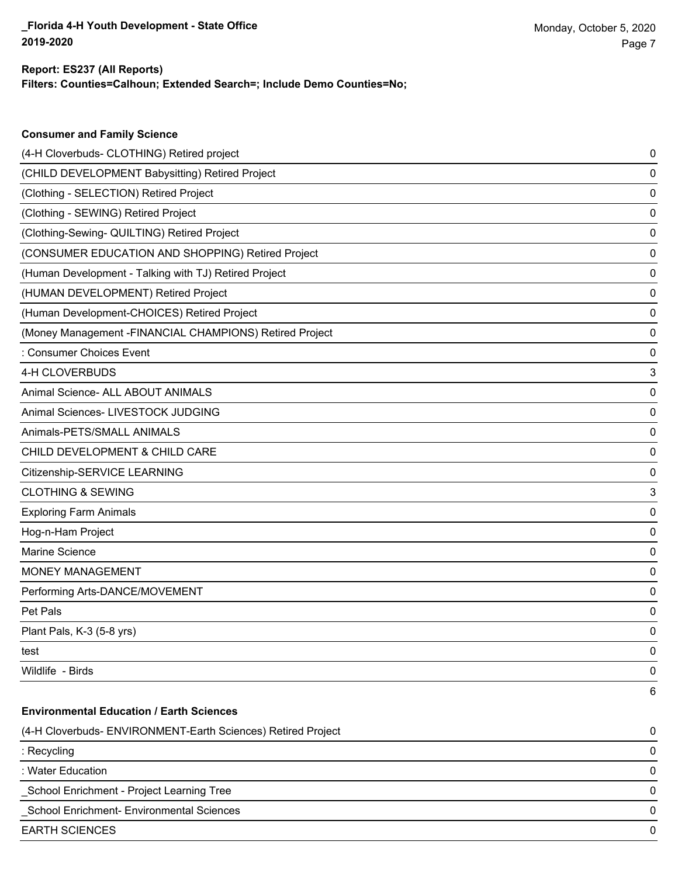**Consumer and Family Science**

### **Filters: Counties=Calhoun; Extended Search=; Include Demo Counties=No; Report: ES237 (All Reports)**

| (4-H Cloverbuds- CLOTHING) Retired project                   | 0 |
|--------------------------------------------------------------|---|
| (CHILD DEVELOPMENT Babysitting) Retired Project              | 0 |
| (Clothing - SELECTION) Retired Project                       | 0 |
| (Clothing - SEWING) Retired Project                          | 0 |
| (Clothing-Sewing- QUILTING) Retired Project                  | 0 |
| (CONSUMER EDUCATION AND SHOPPING) Retired Project            | 0 |
| (Human Development - Talking with TJ) Retired Project        | 0 |
| (HUMAN DEVELOPMENT) Retired Project                          | 0 |
| (Human Development-CHOICES) Retired Project                  | 0 |
| (Money Management - FINANCIAL CHAMPIONS) Retired Project     | 0 |
| : Consumer Choices Event                                     | 0 |
| 4-H CLOVERBUDS                                               | 3 |
| Animal Science- ALL ABOUT ANIMALS                            | 0 |
| Animal Sciences- LIVESTOCK JUDGING                           | 0 |
| Animals-PETS/SMALL ANIMALS                                   | 0 |
| CHILD DEVELOPMENT & CHILD CARE                               | 0 |
| Citizenship-SERVICE LEARNING                                 | 0 |
| <b>CLOTHING &amp; SEWING</b>                                 | 3 |
| <b>Exploring Farm Animals</b>                                | 0 |
| Hog-n-Ham Project                                            | 0 |
| Marine Science                                               | 0 |
| <b>MONEY MANAGEMENT</b>                                      | 0 |
| Performing Arts-DANCE/MOVEMENT                               | 0 |
| Pet Pals                                                     | 0 |
| Plant Pals, K-3 (5-8 yrs)                                    | 0 |
| test                                                         | 0 |
| Wildlife - Birds                                             | 0 |
|                                                              | 6 |
| <b>Environmental Education / Earth Sciences</b>              |   |
| (4-H Cloverbuds- ENVIRONMENT-Earth Sciences) Retired Project | 0 |
| : Recycling                                                  | 0 |
| : Water Education                                            | 0 |
| School Enrichment - Project Learning Tree                    | 0 |
| School Enrichment- Environmental Sciences                    | 0 |
| <b>EARTH SCIENCES</b>                                        | 0 |
|                                                              |   |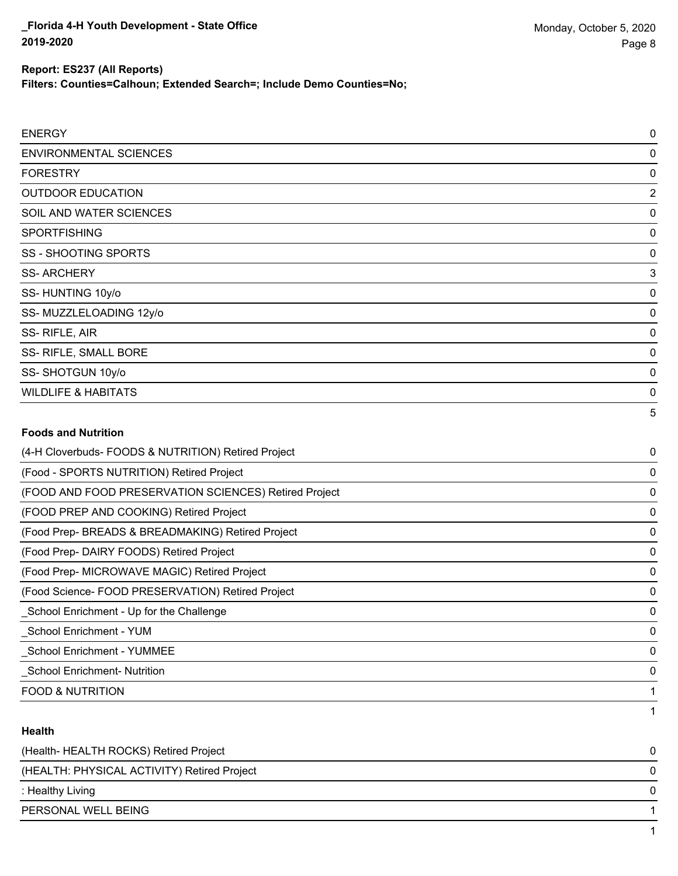**Filters: Counties=Calhoun; Extended Search=; Include Demo Counties=No;**

| <b>ENERGY</b>                                       | 0              |
|-----------------------------------------------------|----------------|
| <b>ENVIRONMENTAL SCIENCES</b>                       | 0              |
| <b>FORESTRY</b>                                     | 0              |
| <b>OUTDOOR EDUCATION</b>                            | $\overline{2}$ |
| SOIL AND WATER SCIENCES                             | 0              |
| <b>SPORTFISHING</b>                                 | 0              |
| <b>SS - SHOOTING SPORTS</b>                         | 0              |
| <b>SS-ARCHERY</b>                                   | 3              |
| SS-HUNTING 10y/o                                    | 0              |
| SS-MUZZLELOADING 12y/o                              | 0              |
| SS-RIFLE, AIR                                       | 0              |
| SS- RIFLE, SMALL BORE                               | 0              |
| SS-SHOTGUN 10y/o                                    | 0              |
| <b>WILDLIFE &amp; HABITATS</b>                      | 0              |
|                                                     | 5              |
| <b>Foods and Nutrition</b>                          |                |
| (4-H Cloverbuds- FOODS & NUTRITION) Retired Project | 0              |

| (4-H Cloverbuds- FOODS & NUTRITION) Retired Project   | 0            |
|-------------------------------------------------------|--------------|
| (Food - SPORTS NUTRITION) Retired Project             | 0            |
| (FOOD AND FOOD PRESERVATION SCIENCES) Retired Project | $\mathbf{0}$ |
| (FOOD PREP AND COOKING) Retired Project               | 0            |
| (Food Prep- BREADS & BREADMAKING) Retired Project     | 0            |
| (Food Prep-DAIRY FOODS) Retired Project               | 0            |
| (Food Prep- MICROWAVE MAGIC) Retired Project          | 0            |
| (Food Science- FOOD PRESERVATION) Retired Project     | 0            |
| School Enrichment - Up for the Challenge              | 0            |
| School Enrichment - YUM                               | 0            |
| <b>School Enrichment - YUMMEE</b>                     | 0            |
| <b>School Enrichment- Nutrition</b>                   | $\mathbf{0}$ |
| <b>FOOD &amp; NUTRITION</b>                           |              |
|                                                       |              |

### **Health**

| (Health-HEALTH ROCKS) Retired Project       |  |
|---------------------------------------------|--|
| (HEALTH: PHYSICAL ACTIVITY) Retired Project |  |
| : Healthy Living                            |  |
| PERSONAL WELL BEING                         |  |
|                                             |  |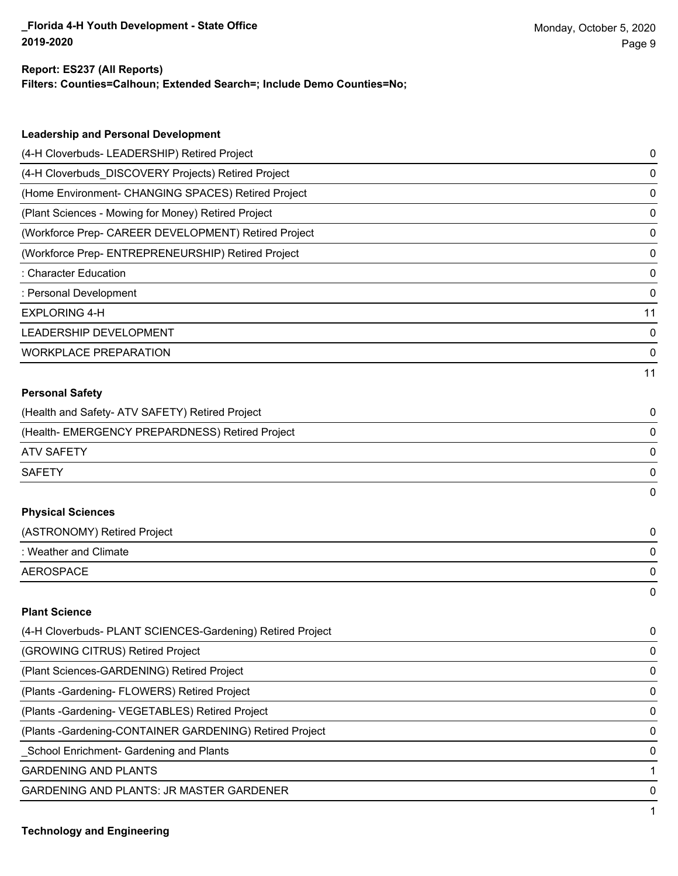#### **Report: ES237 (All Reports)**

**Filters: Counties=Calhoun; Extended Search=; Include Demo Counties=No;**

| <b>Leadership and Personal Development</b>                 |    |
|------------------------------------------------------------|----|
| (4-H Cloverbuds- LEADERSHIP) Retired Project               | 0  |
| (4-H Cloverbuds_DISCOVERY Projects) Retired Project        | 0  |
| (Home Environment- CHANGING SPACES) Retired Project        | 0  |
| (Plant Sciences - Mowing for Money) Retired Project        | 0  |
| (Workforce Prep- CAREER DEVELOPMENT) Retired Project       | 0  |
| (Workforce Prep- ENTREPRENEURSHIP) Retired Project         | 0  |
| : Character Education                                      | 0  |
| : Personal Development                                     | 0  |
| <b>EXPLORING 4-H</b>                                       | 11 |
| LEADERSHIP DEVELOPMENT                                     | 0  |
| <b>WORKPLACE PREPARATION</b>                               | 0  |
|                                                            | 11 |
| <b>Personal Safety</b>                                     |    |
| (Health and Safety- ATV SAFETY) Retired Project            | 0  |
| (Health- EMERGENCY PREPARDNESS) Retired Project            | 0  |
| <b>ATV SAFETY</b>                                          | 0  |
| <b>SAFETY</b>                                              | 0  |
|                                                            | 0  |
| <b>Physical Sciences</b>                                   |    |
| (ASTRONOMY) Retired Project                                | 0  |
| : Weather and Climate                                      | 0  |
| <b>AEROSPACE</b>                                           | 0  |
|                                                            | 0  |
| <b>Plant Science</b>                                       |    |
| (4-H Cloverbuds- PLANT SCIENCES-Gardening) Retired Project | 0  |
| (GROWING CITRUS) Retired Project                           | 0  |
| (Plant Sciences-GARDENING) Retired Project                 | 0  |
| (Plants - Gardening - FLOWERS) Retired Project             | 0  |
| (Plants - Gardening - VEGETABLES) Retired Project          | 0  |
| (Plants - Gardening-CONTAINER GARDENING) Retired Project   | 0  |
| School Enrichment- Gardening and Plants                    | 0  |

GARDENING AND PLANTS 1

GARDENING AND PLANTS: JR MASTER GARDENER 0